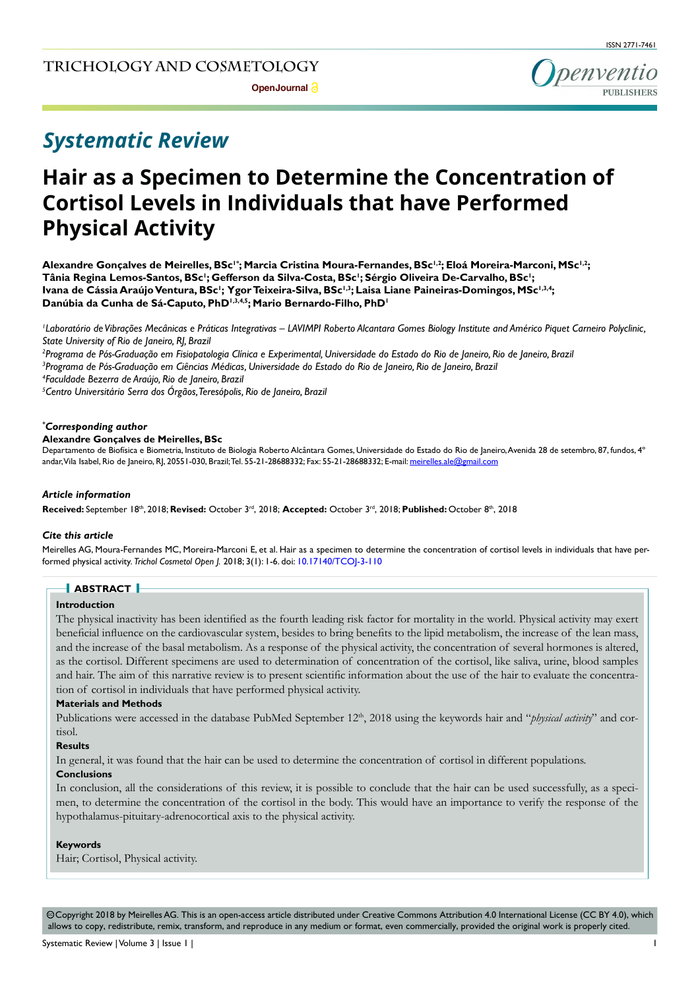

# *Systematic Review*

# **Hair as a Specimen to Determine the Concentration of Cortisol Levels in Individuals that have Performed Physical Activity**

Alexandre Gonçalves de Meirelles, BSc<sup>1+</sup>; Marcia Cristina Moura-Fernandes, BSc<sup>1,2</sup>; Eloá Moreira-Marconi, MSc<sup>1,2</sup>; Tânia Regina Lemos-Santos, BSc<sup>1</sup>; Gefferson da Silva-Costa, BSc<sup>1</sup>; Sérgio Oliveira De-Carvalho, BSc<sup>1</sup>; Ivana de Cássia Araújo Ventura, BSc<sup>1</sup>; Ygor Teixeira-Silva, BSc<sup>1,3</sup>; Laisa Liane Paineiras-Domingos, MSc<sup>1,3,4</sup>; Danúbia da Cunha de Sá-Caputo, PhD<sup>1,3,4,5</sup>; Mario Bernardo-Filho, PhD<sup>1</sup>

*1 Laboratório de Vibrações Mecânicas e Práticas Integrativas – LAVIMPI Roberto Alcantara Gomes Biology Institute and Américo Piquet Carneiro Polyclinic, State University of Rio de Janeiro, RJ, Brazil*

*2 Programa de Pós-Graduação em Fisiopatologia Clínica e Experimental, Universidade do Estado do Rio de Janeiro, Rio de Janeiro, Brazil 3 Programa de Pós-Graduação em Ciências Médicas, Universidade do Estado do Rio de Janeiro, Rio de Janeiro, Brazil 4 Faculdade Bezerra de Araújo, Rio de Janeiro, Brazil*

*5 Centro Universitário Serra dos Órgãos, Teresópolis, Rio de Janeiro, Brazil*

#### *\* Corresponding author*

## **Alexandre Gonçalves de Meirelles, BSc**

Departamento de Biofísica e Biometria, Instituto de Biologia Roberto Alcântara Gomes, Universidade do Estado do Rio de Janeiro, Avenida 28 de setembro, 87, fundos, 4° andar, Vila Isabel, Rio de Janeiro, RJ, 20551-030, Brazil; Tel. 55-21-28688332; Fax: 55-21-28688332; E-mail: meirelles.ale@gmail.com

#### *Article information*

**Received:** September 18th, 2018; **Revised:** October 3rd, 2018; **Accepted:** October 3rd, 2018; **Published:** October 8th, 2018

#### *Cite this article*

Meirelles AG, Moura-Fernandes MC, Moreira-Marconi E, et al. Hair as a specimen to determine the concentration of cortisol levels in individuals that have performed physical activity. *Trichol Cosmetol Open J.* 2018; 3(1): 1-6. doi: [10.17140/TCOJ-3-110](http://dx.doi.org/10.17140/TCOJ-3-110)

## **ABSTRACT**

### **Introduction**

The physical inactivity has been identified as the fourth leading risk factor for mortality in the world. Physical activity may exert beneficial influence on the cardiovascular system, besides to bring benefits to the lipid metabolism, the increase of the lean mass, and the increase of the basal metabolism. As a response of the physical activity, the concentration of several hormones is altered, as the cortisol. Different specimens are used to determination of concentration of the cortisol, like saliva, urine, blood samples and hair. The aim of this narrative review is to present scientific information about the use of the hair to evaluate the concentration of cortisol in individuals that have performed physical activity.

#### **Materials and Methods**

Publications were accessed in the database PubMed September 12<sup>th</sup>, 2018 using the keywords hair and "*physical activity*" and cortisol.

## **Results**

In general, it was found that the hair can be used to determine the concentration of cortisol in different populations.

#### **Conclusions**

In conclusion, all the considerations of this review, it is possible to conclude that the hair can be used successfully, as a specimen, to determine the concentration of the cortisol in the body. This would have an importance to verify the response of the hypothalamus-pituitary-adrenocortical axis to the physical activity.

#### **Keywords**

Hair; Cortisol, Physical activity.

 $\circledcirc$  Copyright 2018 by Meirelles AG. This is an open-access article distributed under Creative Commons Attribution 4.0 International License (CC BY 4.0), which allows to copy, redistribute, remix, transform, and reproduce in any medium or format, even commercially, provided the original work is properly cited.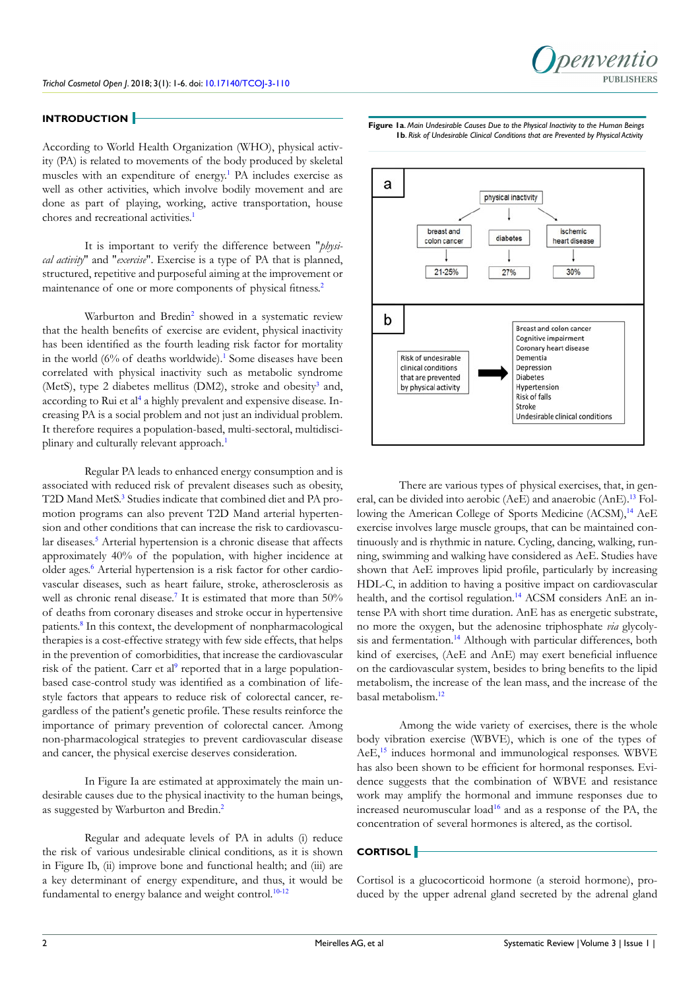

## **INTRODUCTION**

According to World Health Organization (WHO), physical activity (PA) is related to movements of the body produced by skeletal muscles with an expenditure of energy.<sup>[1](#page-4-0)</sup> PA includes exercise as well as other activities, which involve bodily movement and are done as part of playing, working, active transportation, house chores and recreational activities.<sup>[1](#page-4-0)</sup>

It is important to verify the difference between "*physical activity*" and "*exercise*". Exercise is a type of PA that is planned, structured, repetitive and purposeful aiming at the improvement or maintenance of one or more components of physical fitness.<sup>[2](#page-4-1)</sup>

Warburton and Bredin<sup>[2](#page-4-1)</sup> showed in a systematic review that the health benefits of exercise are evident, physical inactivity has been identified as the fourth leading risk factor for mortality in the world (6% of deaths worldwide).<sup>[1](#page-4-0)</sup> Some diseases have been correlated with physical inactivity such as metabolic syndrome (MetS), type 2 diabetes mellitus (DM2), stroke and obesity<sup>[3](#page-4-2)</sup> and, according to Rui et al<sup>[4](#page-4-3)</sup> a highly prevalent and expensive disease. Increasing PA is a social problem and not just an individual problem. It therefore requires a population-based, multi-sectoral, multidisci-plinary and culturally relevant approach.<sup>[1](#page-4-0)</sup>

Regular PA leads to enhanced energy consumption and is associated with reduced risk of prevalent diseases such as obesity, T2D Mand MetS.<sup>[3](#page-4-2)</sup> Studies indicate that combined diet and PA promotion programs can also prevent T2D Mand arterial hypertension and other conditions that can increase the risk to cardiovascu-lar diseases.<sup>[5](#page-4-4)</sup> Arterial hypertension is a chronic disease that affects approximately 40% of the population, with higher incidence at older ages.<sup>[6](#page-4-5)</sup> Arterial hypertension is a risk factor for other cardiovascular diseases, such as heart failure, stroke, atherosclerosis as well as chronic renal disease.<sup>[7](#page-4-6)</sup> It is estimated that more than 50% of deaths from coronary diseases and stroke occur in hypertensive patients.<sup>[8](#page-4-7)</sup> In this context, the development of nonpharmacological therapies is a cost-effective strategy with few side effects, that helps in the prevention of comorbidities, that increase the cardiovascular risk of the patient. Carr et al<sup>[9](#page-4-8)</sup> reported that in a large populationbased case-control study was identified as a combination of lifestyle factors that appears to reduce risk of colorectal cancer, regardless of the patient's genetic profile. These results reinforce the importance of primary prevention of colorectal cancer. Among non-pharmacological strategies to prevent cardiovascular disease and cancer, the physical exercise deserves consideration.

In Figure Ia are estimated at approximately the main undesirable causes due to the physical inactivity to the human beings, as suggested by Warburton and Bredin.[2](#page-4-1)

Regular and adequate levels of PA in adults (i) reduce the risk of various undesirable clinical conditions, as it is shown in Figure Ib, (ii) improve bone and functional health; and (iii) are a key determinant of energy expenditure, and thus, it would be fundamental to energy balance and weight control.<sup>[10-12](#page-4-9)</sup>

**Figure 1a**. *Main Undesirable Causes Due to the Physical Inactivity to the Human Beings* **1b**. *Risk of Undesirable Clinical Conditions that are Prevented by Physical Activity*



There are various types of physical exercises, that, in gen-eral, can be divided into aerobic (AeE) and anaerobic (AnE).<sup>[13](#page-5-0)</sup> Fol-lowing the American College of Sports Medicine (ACSM),<sup>[14](#page-5-1)</sup> AeE exercise involves large muscle groups, that can be maintained continuously and is rhythmic in nature. Cycling, dancing, walking, running, swimming and walking have considered as AeE. Studies have shown that AeE improves lipid profile, particularly by increasing HDL-C, in addition to having a positive impact on cardiovascular health, and the cortisol regulation.<sup>[14](#page-5-1)</sup> ACSM considers AnE an intense PA with short time duration. AnE has as energetic substrate, no more the oxygen, but the adenosine triphosphate *via* glycoly-sis and fermentation.<sup>[14](#page-5-1)</sup> Although with particular differences, both kind of exercises, (AeE and AnE) may exert beneficial influence on the cardiovascular system, besides to bring benefits to the lipid metabolism, the increase of the lean mass, and the increase of the basal metabolism.[12](#page-4-10)

Among the wide variety of exercises, there is the whole body vibration exercise (WBVE), which is one of the types of AeE,<sup>[15](#page-5-2)</sup> induces hormonal and immunological responses. WBVE has also been shown to be efficient for hormonal responses. Evidence suggests that the combination of WBVE and resistance work may amplify the hormonal and immune responses due to increased neuromuscular load<sup>[16](#page-5-3)</sup> and as a response of the PA, the concentration of several hormones is altered, as the cortisol.

# **CORTISOL**

Cortisol is a glucocorticoid hormone (a steroid hormone), produced by the upper adrenal gland secreted by the adrenal gland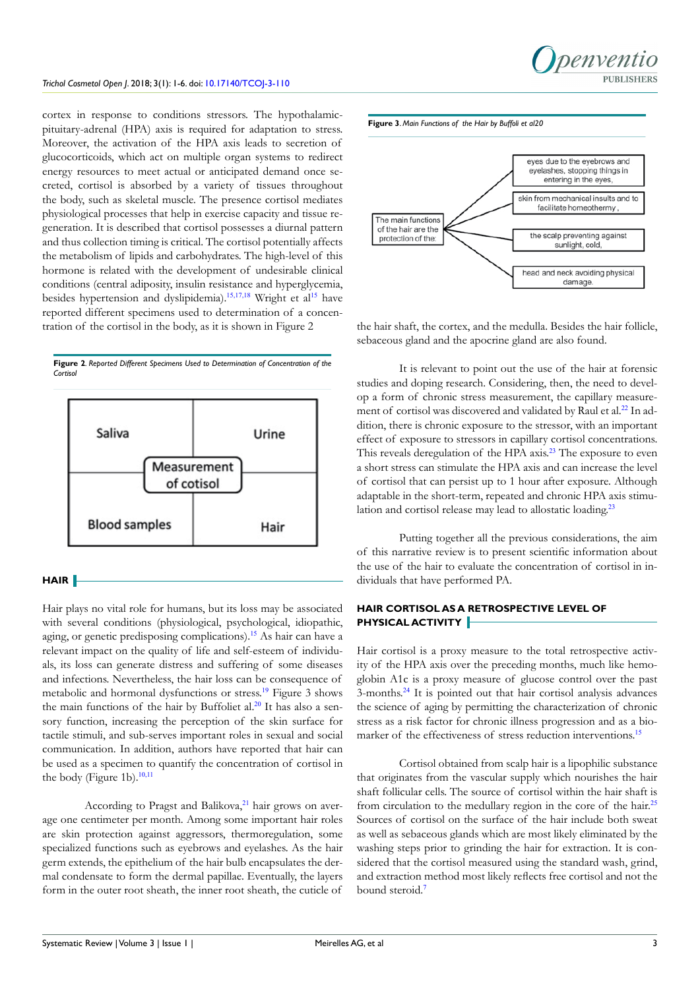cortex in response to conditions stressors. The hypothalamicpituitary-adrenal (HPA) axis is required for adaptation to stress. Moreover, the activation of the HPA axis leads to secretion of glucocorticoids, which act on multiple organ systems to redirect energy resources to meet actual or anticipated demand once secreted, cortisol is absorbed by a variety of tissues throughout the body, such as skeletal muscle. The presence cortisol mediates physiological processes that help in exercise capacity and tissue regeneration. It is described that cortisol possesses a diurnal pattern and thus collection timing is critical. The cortisol potentially affects the metabolism of lipids and carbohydrates. The high-level of this hormone is related with the development of undesirable clinical conditions (central adiposity, insulin resistance and hyperglycemia, besides hypertension and dyslipidemia).<sup>[15,](#page-5-2)[17,18](#page-5-4)</sup> Wright et al<sup>[15](#page-5-2)</sup> have reported different specimens used to determination of a concentration of the cortisol in the body, as it is shown in Figure 2





## **HAIR**

Hair plays no vital role for humans, but its loss may be associated with several conditions (physiological, psychological, idiopathic, aging, or genetic predisposing complications).[15](#page-5-2) As hair can have a relevant impact on the quality of life and self-esteem of individuals, its loss can generate distress and suffering of some diseases and infections. Nevertheless, the hair loss can be consequence of metabolic and hormonal dysfunctions or stress.[19](#page-5-5) Figure 3 shows the main functions of the hair by Buffoliet al. $20$  It has also a sensory function, increasing the perception of the skin surface for tactile stimuli, and sub-serves important roles in sexual and social communication. In addition, authors have reported that hair can be used as a specimen to quantify the concentration of cortisol in the body (Figure 1b).<sup>[10,11](#page-4-9)</sup>

According to Pragst and Balikova, $21$  hair grows on average one centimeter per month. Among some important hair roles are skin protection against aggressors, thermoregulation, some specialized functions such as eyebrows and eyelashes. As the hair germ extends, the epithelium of the hair bulb encapsulates the dermal condensate to form the dermal papillae. Eventually, the layers form in the outer root sheath, the inner root sheath, the cuticle of







the hair shaft, the cortex, and the medulla. Besides the hair follicle, sebaceous gland and the apocrine gland are also found.

It is relevant to point out the use of the hair at forensic studies and doping research. Considering, then, the need to develop a form of chronic stress measurement, the capillary measure-ment of cortisol was discovered and validated by Raul et al.<sup>[22](#page-5-8)</sup> In addition, there is chronic exposure to the stressor, with an important effect of exposure to stressors in capillary cortisol concentrations. This reveals deregulation of the HPA axis.<sup>[23](#page-5-9)</sup> The exposure to even a short stress can stimulate the HPA axis and can increase the level of cortisol that can persist up to 1 hour after exposure. Although adaptable in the short-term, repeated and chronic HPA axis stimu-lation and cortisol release may lead to allostatic loading.<sup>[23](#page-5-9)</sup>

Putting together all the previous considerations, the aim of this narrative review is to present scientific information about the use of the hair to evaluate the concentration of cortisol in individuals that have performed PA.

# **HAIR CORTISOL AS A RETROSPECTIVE LEVEL OF PHYSICAL ACTIVITY**

Hair cortisol is a proxy measure to the total retrospective activity of the HPA axis over the preceding months, much like hemoglobin A1c is a proxy measure of glucose control over the past 3-months.[24](#page-5-10) It is pointed out that hair cortisol analysis advances the science of aging by permitting the characterization of chronic stress as a risk factor for chronic illness progression and as a bio-marker of the effectiveness of stress reduction interventions.<sup>[15](#page-5-2)</sup>

Cortisol obtained from scalp hair is a lipophilic substance that originates from the vascular supply which nourishes the hair shaft follicular cells. The source of cortisol within the hair shaft is from circulation to the medullary region in the core of the hair.<sup>[25](#page-5-11)</sup> Sources of cortisol on the surface of the hair include both sweat as well as sebaceous glands which are most likely eliminated by the washing steps prior to grinding the hair for extraction. It is considered that the cortisol measured using the standard wash, grind, and extraction method most likely reflects free cortisol and not the bound steroid.<sup>[7](#page-4-6)</sup>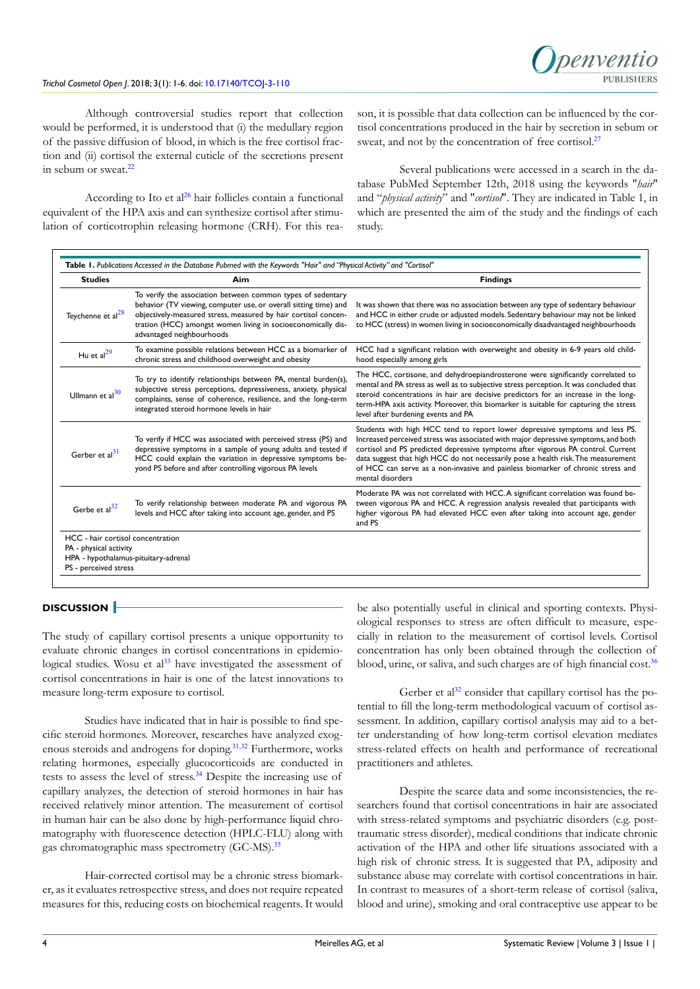Although controversial studies report that collection would be performed, it is understood that (i) the medullary region of the passive diffusion of blood, in which is the free cortisol fraction and (ii) cortisol the external cuticle of the secretions present in sebum or sweat.<sup>[22](#page-5-8)</sup>

According to Ito et al<sup>[26](#page-5-12)</sup> hair follicles contain a functional equivalent of the HPA axis and can synthesize cortisol after stimulation of corticotrophin releasing hormone (CRH). For this reason, it is possible that data collection can be influenced by the cortisol concentrations produced in the hair by secretion in sebum or sweat, and not by the concentration of free cortisol.<sup>[27](#page-5-13)</sup>

Several publications were accessed in a search in the database PubMed September 12th, 2018 using the keywords "*hair*" and "*physical activity*" and "*cortisol*". They are indicated in Table 1, in which are presented the aim of the study and the findings of each study.

| <b>Studies</b>                    | Aim                                                                                                                                                                                                                                                                                            | <b>Findings</b>                                                                                                                                                                                                                                                                                                                                                                                                                                    |
|-----------------------------------|------------------------------------------------------------------------------------------------------------------------------------------------------------------------------------------------------------------------------------------------------------------------------------------------|----------------------------------------------------------------------------------------------------------------------------------------------------------------------------------------------------------------------------------------------------------------------------------------------------------------------------------------------------------------------------------------------------------------------------------------------------|
| Teychenne et al <sup>28</sup>     | To verify the association between common types of sedentary<br>behavior (TV viewing, computer use, or overall sitting time) and<br>objectively-measured stress, measured by hair cortisol concen-<br>tration (HCC) amongst women living in socioeconomically dis-<br>advantaged neighbourhoods | It was shown that there was no association between any type of sedentary behaviour<br>and HCC in either crude or adjusted models. Sedentary behaviour may not be linked<br>to HCC (stress) in women living in socioeconomically disadvantaged neighbourhoods                                                                                                                                                                                       |
| Hu et $al29$                      | To examine possible relations between HCC as a biomarker of<br>chronic stress and childhood overweight and obesity                                                                                                                                                                             | HCC had a significant relation with overweight and obesity in 6-9 years old child-<br>hood especially among girls                                                                                                                                                                                                                                                                                                                                  |
| Ullmann et al $^{30}$             | To try to identify relationships between PA, mental burden(s),<br>subjective stress perceptions, depressiveness, anxiety, physical<br>complaints, sense of coherence, resilience, and the long-term<br>integrated steroid hormone levels in hair                                               | The HCC, cortisone, and dehydroepiandrosterone were significantly correlated to<br>mental and PA stress as well as to subjective stress perception. It was concluded that<br>steroid concentrations in hair are decisive predictors for an increase in the long-<br>term-HPA axis activity. Moreover, this biomarker is suitable for capturing the stress<br>level after burdening events and PA                                                   |
| Gerber et al $^{31}$              | To verify if HCC was associated with perceived stress (PS) and<br>depressive symptoms in a sample of young adults and tested if<br>HCC could explain the variation in depressive symptoms be-<br>yond PS before and after controlling vigorous PA levels                                       | Students with high HCC tend to report lower depressive symptoms and less PS.<br>Increased perceived stress was associated with major depressive symptoms, and both<br>cortisol and PS predicted depressive symptoms after vigorous PA control. Current<br>data suggest that high HCC do not necessarily pose a health risk. The measurement<br>of HCC can serve as a non-invasive and painless biomarker of chronic stress and<br>mental disorders |
| Gerbe et $al^{32}$                | To verify relationship between moderate PA and vigorous PA<br>levels and HCC after taking into account age, gender, and PS                                                                                                                                                                     | Moderate PA was not correlated with HCC.A significant correlation was found be-<br>tween vigorous PA and HCC. A regression analysis revealed that participants with<br>higher vigorous PA had elevated HCC even after taking into account age, gender<br>and PS                                                                                                                                                                                    |
| HCC - hair cortisol concentration |                                                                                                                                                                                                                                                                                                |                                                                                                                                                                                                                                                                                                                                                                                                                                                    |
| PA - physical activity            | HPA - hypothalamus-pituitary-adrenal                                                                                                                                                                                                                                                           |                                                                                                                                                                                                                                                                                                                                                                                                                                                    |
| PS - perceived stress             |                                                                                                                                                                                                                                                                                                |                                                                                                                                                                                                                                                                                                                                                                                                                                                    |

# **DISCUSSION**

The study of capillary cortisol presents a unique opportunity to evaluate chronic changes in cortisol concentrations in epidemio-logical studies. Wosu et al<sup>[33](#page-5-19)</sup> have investigated the assessment of cortisol concentrations in hair is one of the latest innovations to measure long-term exposure to cortisol.

Studies have indicated that in hair is possible to find specific steroid hormones. Moreover, researches have analyzed exogenous steroids and androgens for doping.[31,32](#page-5-17) Furthermore, works relating hormones, especially glucocorticoids are conducted in tests to assess the level of stress.[34](#page-5-20) Despite the increasing use of capillary analyzes, the detection of steroid hormones in hair has received relatively minor attention. The measurement of cortisol in human hair can be also done by high-performance liquid chromatography with fluorescence detection (HPLC-FLU) along with gas chromatographic mass spectrometry (GC-MS).<sup>[35](#page-5-21)</sup>

Hair-corrected cortisol may be a chronic stress biomarker, as it evaluates retrospective stress, and does not require repeated measures for this, reducing costs on biochemical reagents. It would be also potentially useful in clinical and sporting contexts. Physiological responses to stress are often difficult to measure, especially in relation to the measurement of cortisol levels. Cortisol concentration has only been obtained through the collection of blood, urine, or saliva, and such charges are of high financial cost.<sup>[36](#page-5-22)</sup>

Gerber et al<sup>[32](#page-5-18)</sup> consider that capillary cortisol has the potential to fill the long-term methodological vacuum of cortisol assessment. In addition, capillary cortisol analysis may aid to a better understanding of how long-term cortisol elevation mediates stress-related effects on health and performance of recreational practitioners and athletes.

Despite the scarce data and some inconsistencies, the researchers found that cortisol concentrations in hair are associated with stress-related symptoms and psychiatric disorders (e.g. posttraumatic stress disorder), medical conditions that indicate chronic activation of the HPA and other life situations associated with a high risk of chronic stress. It is suggested that PA, adiposity and substance abuse may correlate with cortisol concentrations in hair. In contrast to measures of a short-term release of cortisol (saliva, blood and urine), smoking and oral contraceptive use appear to be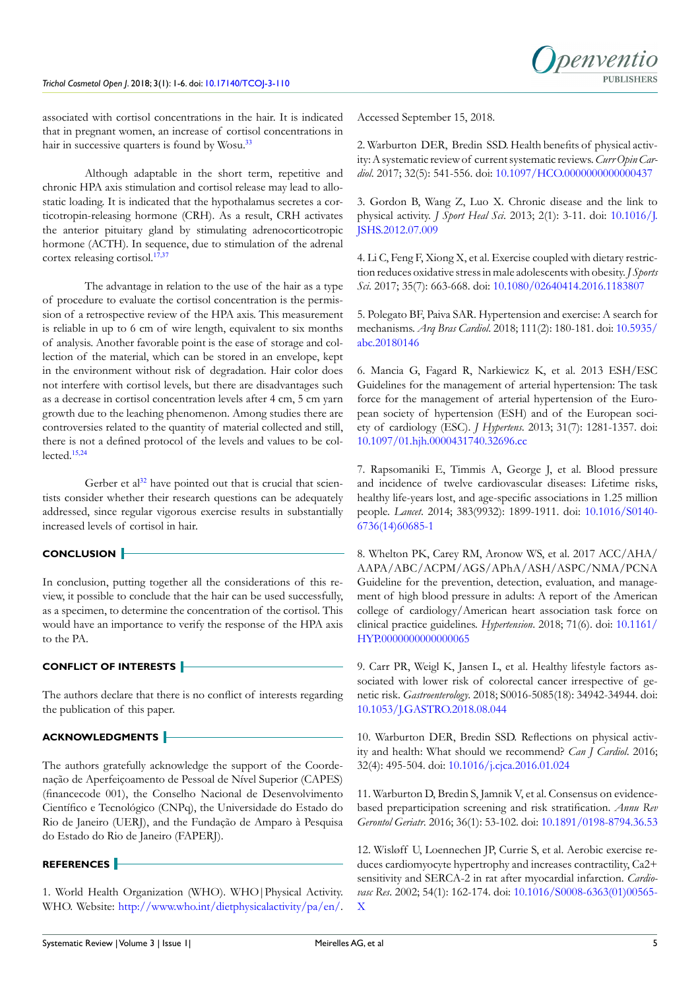associated with cortisol concentrations in the hair. It is indicated that in pregnant women, an increase of cortisol concentrations in hair in successive quarters is found by Wosu.<sup>[33](#page-5-19)</sup>

Although adaptable in the short term, repetitive and chronic HPA axis stimulation and cortisol release may lead to allostatic loading. It is indicated that the hypothalamus secretes a corticotropin-releasing hormone (CRH). As a result, CRH activates the anterior pituitary gland by stimulating adrenocorticotropic hormone (ACTH). In sequence, due to stimulation of the adrenal cortex releasing cortisol.<sup>[17,](#page-5-4)[37](#page-5-23)</sup>

The advantage in relation to the use of the hair as a type of procedure to evaluate the cortisol concentration is the permission of a retrospective review of the HPA axis. This measurement is reliable in up to 6 cm of wire length, equivalent to six months of analysis. Another favorable point is the ease of storage and collection of the material, which can be stored in an envelope, kept in the environment without risk of degradation. Hair color does not interfere with cortisol levels, but there are disadvantages such as a decrease in cortisol concentration levels after 4 cm, 5 cm yarn growth due to the leaching phenomenon. Among studies there are controversies related to the quantity of material collected and still, there is not a defined protocol of the levels and values to be collected.[15,](#page-5-2)[24](#page-5-10)

Gerber et al<sup>[32](#page-5-18)</sup> have pointed out that is crucial that scientists consider whether their research questions can be adequately addressed, since regular vigorous exercise results in substantially increased levels of cortisol in hair.

# **CONCLUSION**

In conclusion, putting together all the considerations of this review, it possible to conclude that the hair can be used successfully, as a specimen, to determine the concentration of the cortisol. This would have an importance to verify the response of the HPA axis to the PA.

# **CONFLICT OF INTERESTS**

The authors declare that there is no conflict of interests regarding the publication of this paper.

# **ACKNOWLEDGMENTS**

The authors gratefully acknowledge the support of the Coordenação de Aperfeiçoamento de Pessoal de Nível Superior (CAPES) (financecode 001), the Conselho Nacional de Desenvolvimento Científico e Tecnológico (CNPq), the Universidade do Estado do Rio de Janeiro (UERJ), and the Fundação de Amparo à Pesquisa do Estado do Rio de Janeiro (FAPERJ).

## **REFERENCES**

<span id="page-4-1"></span>2. Warburton DER, Bredin SSD. Health benefits of physical activity: A systematic review of current systematic reviews. *Curr Opin Cardiol*. 2017; 32(5): 541-556. doi: [10.1097/HCO.0000000000000437](https://doi.org/10.1097/HCO.0000000000000437)

<span id="page-4-2"></span>3. Gordon B, Wang Z, Luo X. Chronic disease and the link to physical activity. *J Sport Heal Sci*. 2013; 2(1): 3-11. doi: [10.1016/J.](https://doi.org/10.1016/j.jshs.2012.07.009) [JSHS.2012.07.009](https://doi.org/10.1016/j.jshs.2012.07.009)

<span id="page-4-3"></span>4. Li C, Feng F, Xiong X, et al. Exercise coupled with dietary restriction reduces oxidative stress in male adolescents with obesity. *J Sports Sci*. 2017; 35(7): 663-668. doi: [10.1080/02640414.2016.1183807](https://doi.org/10.1080/02640414.2016.1183807)

<span id="page-4-4"></span>5. Polegato BF, Paiva SAR. Hypertension and exercise: A search for mechanisms. *Arq Bras Cardiol*. 2018; 111(2): 180-181. doi: [10.5935/](https://dx.doi.org/10.5935%252Fabc.20180146) [abc.20180146](https://dx.doi.org/10.5935%252Fabc.20180146)

<span id="page-4-5"></span>6. Mancia G, Fagard R, Narkiewicz K, et al. 2013 ESH/ESC Guidelines for the management of arterial hypertension: The task force for the management of arterial hypertension of the European society of hypertension (ESH) and of the European society of cardiology (ESC). *J Hypertens*. 2013; 31(7): 1281-1357. doi: [10.1097/01.hjh.0000431740.32696.cc](https://doi.org/10.1097/01.hjh.0000431740.32696.cc)

<span id="page-4-6"></span>7. Rapsomaniki E, Timmis A, George J, et al. Blood pressure and incidence of twelve cardiovascular diseases: Lifetime risks, healthy life-years lost, and age-specific associations in 1.25 million people. *Lancet*. 2014; 383(9932): 1899-1911. doi: [10.1016/S0140-](https://doi.org/10.1016/S0140-6736%2814%2960685-1) [6736\(14\)60685-1](https://doi.org/10.1016/S0140-6736%2814%2960685-1)

<span id="page-4-7"></span>8. Whelton PK, Carey RM, Aronow WS, et al. 2017 ACC/AHA/ AAPA/ABC/ACPM/AGS/APhA/ASH/ASPC/NMA/PCNA Guideline for the prevention, detection, evaluation, and management of high blood pressure in adults: A report of the American college of cardiology/American heart association task force on clinical practice guidelines. *Hypertension*. 2018; 71(6). doi: [10.1161/](https://doi.org/10.1161/HYP.0000000000000066) [HYP.0000000000000065](https://doi.org/10.1161/HYP.0000000000000066)

<span id="page-4-8"></span>9. Carr PR, Weigl K, Jansen L, et al. Healthy lifestyle factors associated with lower risk of colorectal cancer irrespective of genetic risk. *Gastroenterology*. 2018; S0016-5085(18): 34942-34944. doi: [10.1053/J.GASTRO.2018.08.044](https://doi.org/10.1053/j.gastro.2018.08.044)

<span id="page-4-9"></span>10. Warburton DER, Bredin SSD. Reflections on physical activity and health: What should we recommend? *Can J Cardiol*. 2016; 32(4): 495-504. doi: [10.1016/j.cjca.2016.01.024](https://doi.org/10.1016/j.cjca.2016.01.024)

11. Warburton D, Bredin S, Jamnik V, et al. Consensus on evidencebased preparticipation screening and risk stratification. *Annu Rev Gerontol Geriatr*. 2016; 36(1): 53-102. doi: [10.1891/0198-8794.36.53](https://doi.org/10.1891/0198-8794.36.53)

<span id="page-4-10"></span>12. Wisløff U, Loennechen JP, Currie S, et al. Aerobic exercise reduces cardiomyocyte hypertrophy and increases contractility, Ca2+ sensitivity and SERCA-2 in rat after myocardial infarction. *Cardiovasc Res*. 2002; 54(1): 162-174. doi: [10.1016/S0008-6363\(01\)00565-](https://doi.org/10.1016/S0008-6363%2801%2900565-X) [X](https://doi.org/10.1016/S0008-6363%2801%2900565-X)

<span id="page-4-0"></span><sup>1.</sup> World Health Organization (WHO). WHO|Physical Activity. WHO. Website: [http://www.who.int/dietphysicalactivity/pa/en/.](http://www.who.int/dietphysicalactivity/pa/en/)